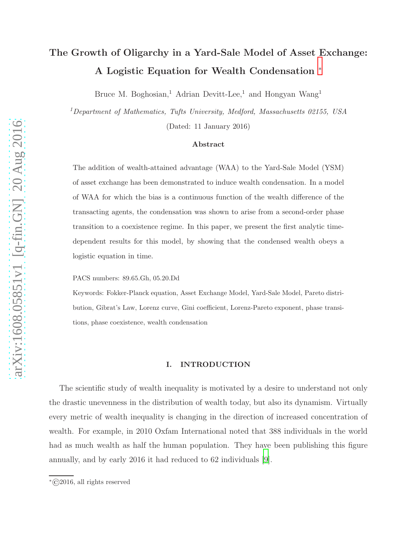# The Growth of Oligarchy in a Yard-Sale Model of Asset Exchange: A Logistic Equation for Wealth Condensation [∗](#page-0-0)

Bruce M. Boghosian,<sup>1</sup> Adrian Devitt-Lee,<sup>1</sup> and Hongyan Wang<sup>1</sup>

<sup>1</sup>Department of Mathematics, Tufts University, Medford, Massachusetts 02155, USA (Dated: 11 January 2016)

### Abstract

The addition of wealth-attained advantage (WAA) to the Yard-Sale Model (YSM) of asset exchange has been demonstrated to induce wealth condensation. In a model of WAA for which the bias is a continuous function of the wealth difference of the transacting agents, the condensation was shown to arise from a second-order phase transition to a coexistence regime. In this paper, we present the first analytic timedependent results for this model, by showing that the condensed wealth obeys a logistic equation in time.

PACS numbers: 89.65.Gh, 05.20.Dd

Keywords: Fokker-Planck equation, Asset Exchange Model, Yard-Sale Model, Pareto distribution, Gibrat's Law, Lorenz curve, Gini coefficient, Lorenz-Pareto exponent, phase transitions, phase coexistence, wealth condensation

## I. INTRODUCTION

The scientific study of wealth inequality is motivated by a desire to understand not only the drastic unevenness in the distribution of wealth today, but also its dynamism. Virtually every metric of wealth inequality is changing in the direction of increased concentration of wealth. For example, in 2010 Oxfam International noted that 388 individuals in the world had as much wealth as half the human population. They have been publishing this figure annually, and by early 2016 it had reduced to 62 individuals [\[9\]](#page-14-0).

<span id="page-0-0"></span><sup>∗</sup>©2016, all rights reserved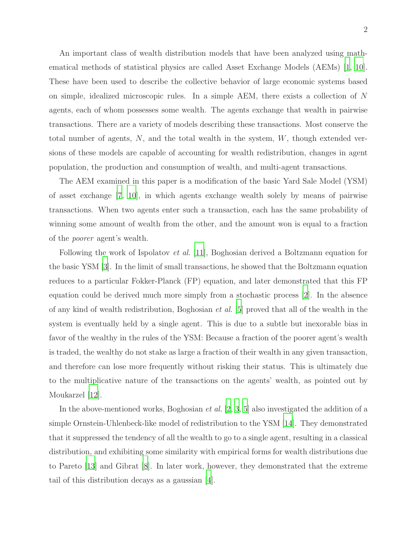An important class of wealth distribution models that have been analyzed using mathematical methods of statistical physics are called Asset Exchange Models (AEMs) [\[1,](#page-14-1) [10\]](#page-14-2). These have been used to describe the collective behavior of large economic systems based on simple, idealized microscopic rules. In a simple AEM, there exists a collection of N agents, each of whom possesses some wealth. The agents exchange that wealth in pairwise transactions. There are a variety of models describing these transactions. Most conserve the total number of agents,  $N$ , and the total wealth in the system,  $W$ , though extended versions of these models are capable of accounting for wealth redistribution, changes in agent population, the production and consumption of wealth, and multi-agent transactions.

The AEM examined in this paper is a modification of the basic Yard Sale Model (YSM) of asset exchange [\[7](#page-14-3), [10\]](#page-14-2), in which agents exchange wealth solely by means of pairwise transactions. When two agents enter such a transaction, each has the same probability of winning some amount of wealth from the other, and the amount won is equal to a fraction of the poorer agent's wealth.

Following the work of Ispolatov *et al.* [\[11](#page-14-4)], Boghosian derived a Boltzmann equation for the basic YSM [\[3\]](#page-14-5). In the limit of small transactions, he showed that the Boltzmann equation reduces to a particular Fokker-Planck (FP) equation, and later demonstrated that this FP equation could be derived much more simply from a stochastic process [\[2](#page-14-6)]. In the absence of any kind of wealth redistribution, Boghosian *et al.* [\[5](#page-14-7)] proved that all of the wealth in the system is eventually held by a single agent. This is due to a subtle but inexorable bias in favor of the wealthy in the rules of the YSM: Because a fraction of the poorer agent's wealth is traded, the wealthy do not stake as large a fraction of their wealth in any given transaction, and therefore can lose more frequently without risking their status. This is ultimately due to the multiplicative nature of the transactions on the agents' wealth, as pointed out by Moukarzel [\[12\]](#page-14-8).

In the above-mentioned works, Boghosian *et al.*  $[2, 3, 5]$  $[2, 3, 5]$  $[2, 3, 5]$  $[2, 3, 5]$  $[2, 3, 5]$  also investigated the addition of a simple Ornstein-Uhlenbeck-like model of redistribution to the YSM [\[14](#page-14-9)]. They demonstrated that it suppressed the tendency of all the wealth to go to a single agent, resulting in a classical distribution, and exhibiting some similarity with empirical forms for wealth distributions due to Pareto [\[13](#page-14-10)] and Gibrat [\[8](#page-14-11)]. In later work, however, they demonstrated that the extreme tail of this distribution decays as a gaussian [\[4](#page-14-12)].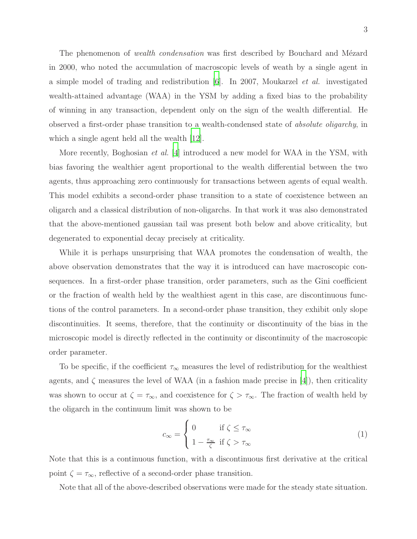The phenomenon of *wealth condensation* was first described by Bouchard and Mézard in 2000, who noted the accumulation of macroscopic levels of weath by a single agent in a simple model of trading and redistribution [\[6\]](#page-14-13). In 2007, Moukarzel et al. investigated wealth-attained advantage (WAA) in the YSM by adding a fixed bias to the probability of winning in any transaction, dependent only on the sign of the wealth differential. He observed a first-order phase transition to a wealth-condensed state of absolute oligarchy, in which a single agent held all the wealth [\[12\]](#page-14-8).

More recently, Boghosian et al. [\[4](#page-14-12)] introduced a new model for WAA in the YSM, with bias favoring the wealthier agent proportional to the wealth differential between the two agents, thus approaching zero continuously for transactions between agents of equal wealth. This model exhibits a second-order phase transition to a state of coexistence between an oligarch and a classical distribution of non-oligarchs. In that work it was also demonstrated that the above-mentioned gaussian tail was present both below and above criticality, but degenerated to exponential decay precisely at criticality.

While it is perhaps unsurprising that WAA promotes the condensation of wealth, the above observation demonstrates that the way it is introduced can have macroscopic consequences. In a first-order phase transition, order parameters, such as the Gini coefficient or the fraction of wealth held by the wealthiest agent in this case, are discontinuous functions of the control parameters. In a second-order phase transition, they exhibit only slope discontinuities. It seems, therefore, that the continuity or discontinuity of the bias in the microscopic model is directly reflected in the continuity or discontinuity of the macroscopic order parameter.

To be specific, if the coefficient  $\tau_{\infty}$  measures the level of redistribution for the wealthiest agents, and  $\zeta$  measures the level of WAA (in a fashion made precise in [\[4](#page-14-12)]), then criticality was shown to occur at  $\zeta = \tau_{\infty}$ , and coexistence for  $\zeta > \tau_{\infty}$ . The fraction of wealth held by the oligarch in the continuum limit was shown to be

<span id="page-2-0"></span>
$$
c_{\infty} = \begin{cases} 0 & \text{if } \zeta \le \tau_{\infty} \\ 1 - \frac{\tau_{\infty}}{\zeta} & \text{if } \zeta > \tau_{\infty} \end{cases}
$$
 (1)

Note that this is a continuous function, with a discontinuous first derivative at the critical point  $\zeta = \tau_{\infty}$ , reflective of a second-order phase transition.

Note that all of the above-described observations were made for the steady state situation.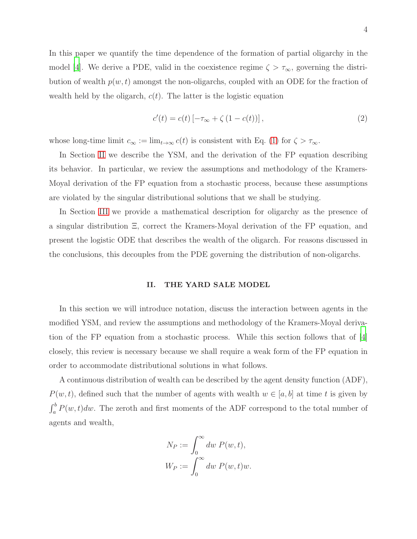In this paper we quantify the time dependence of the formation of partial oligarchy in the model [\[4](#page-14-12)]. We derive a PDE, valid in the coexistence regime  $\zeta > \tau_{\infty}$ , governing the distribution of wealth  $p(w, t)$  amongst the non-oligarchs, coupled with an ODE for the fraction of wealth held by the oligarch,  $c(t)$ . The latter is the logistic equation

$$
c'(t) = c(t) \left[ -\tau_{\infty} + \zeta \left( 1 - c(t) \right) \right],\tag{2}
$$

whose long-time limit  $c_{\infty} := \lim_{t \to \infty} c(t)$  is consistent with Eq. [\(1\)](#page-2-0) for  $\zeta > \tau_{\infty}$ .

In Section [II](#page-3-0) we describe the YSM, and the derivation of the FP equation describing its behavior. In particular, we review the assumptions and methodology of the Kramers-Moyal derivation of the FP equation from a stochastic process, because these assumptions are violated by the singular distributional solutions that we shall be studying.

In Section [III](#page-9-0) we provide a mathematical description for oligarchy as the presence of a singular distribution Ξ, correct the Kramers-Moyal derivation of the FP equation, and present the logistic ODE that describes the wealth of the oligarch. For reasons discussed in the conclusions, this decouples from the PDE governing the distribution of non-oligarchs.

# <span id="page-3-0"></span>II. THE YARD SALE MODEL

In this section we will introduce notation, discuss the interaction between agents in the modified YSM, and review the assumptions and methodology of the Kramers-Moyal derivation of the FP equation from a stochastic process. While this section follows that of [\[4\]](#page-14-12) closely, this review is necessary because we shall require a weak form of the FP equation in order to accommodate distributional solutions in what follows.

A continuous distribution of wealth can be described by the agent density function (ADF),  $P(w, t)$ , defined such that the number of agents with wealth  $w \in [a, b]$  at time t is given by  $\int_a^b P(w, t)dw$ . The zeroth and first moments of the ADF correspond to the total number of agents and wealth,

$$
N_P := \int_0^\infty dw \ P(w, t),
$$
  

$$
W_P := \int_0^\infty dw \ P(w, t)w.
$$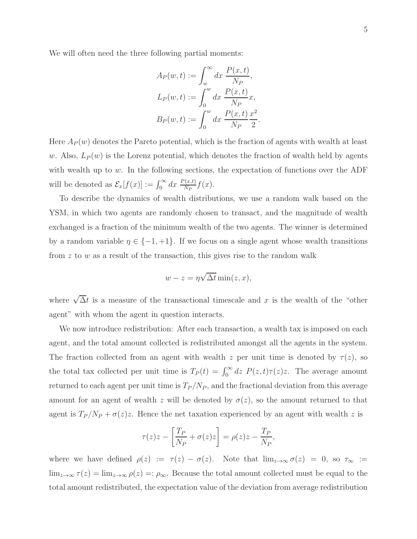We will often need the three following partial moments:

$$
A_P(w,t) := \int_w^{\infty} dx \frac{P(x,t)}{N_P},
$$
  
\n
$$
L_P(w,t) := \int_0^w dx \frac{P(x,t)}{N_P} x,
$$
  
\n
$$
B_P(w,t) := \int_0^w dx \frac{P(x,t)}{N_P} \frac{x^2}{2}.
$$

Here  $A_P(w)$  denotes the Pareto potential, which is the fraction of agents with wealth at least w. Also,  $L_P(w)$  is the Lorenz potential, which denotes the fraction of wealth held by agents with wealth up to w. In the following sections, the expectation of functions over the ADF will be denoted as  $\mathcal{E}_x[f(x)] := \int_0^\infty dx \; \frac{P(x,t)}{N_P} f(x)$ .

To describe the dynamics of wealth distributions, we use a random walk based on the YSM, in which two agents are randomly chosen to transact, and the magnitude of wealth exchanged is a fraction of the minimum wealth of the two agents. The winner is determined by a random variable  $\eta \in \{-1, +1\}$ . If we focus on a single agent whose wealth transitions from  $z$  to  $w$  as a result of the transaction, this gives rise to the random walk

$$
w - z = \eta \sqrt{\Delta t} \min(z, x),
$$

where  $\sqrt{\Delta}t$  is a measure of the transactional timescale and x is the wealth of the "other" agent" with whom the agent in question interacts.

We now introduce redistribution: After each transaction, a wealth tax is imposed on each agent, and the total amount collected is redistributed amongst all the agents in the system. The fraction collected from an agent with wealth z per unit time is denoted by  $\tau(z)$ , so the total tax collected per unit time is  $T_P(t) = \int_0^\infty dz P(z, t)\tau(z)z$ . The average amount returned to each agent per unit time is  $T_P/N_P$ , and the fractional deviation from this average amount for an agent of wealth z will be denoted by  $\sigma(z)$ , so the amount returned to that agent is  $T_P/N_P + \sigma(z)z$ . Hence the net taxation experienced by an agent with wealth z is

$$
\tau(z)z - \left[\frac{T_P}{N_P} + \sigma(z)z\right] = \rho(z)z - \frac{T_P}{N_P},
$$

where we have defined  $\rho(z) := \tau(z) - \sigma(z)$ . Note that  $\lim_{z \to \infty} \sigma(z) = 0$ , so  $\tau_{\infty} :=$  $\lim_{z\to\infty} \tau(z) = \lim_{z\to\infty} \rho(z) =: \rho_{\infty}$ . Because the total amount collected must be equal to the total amount redistributed, the expectation value of the deviation from average redistribution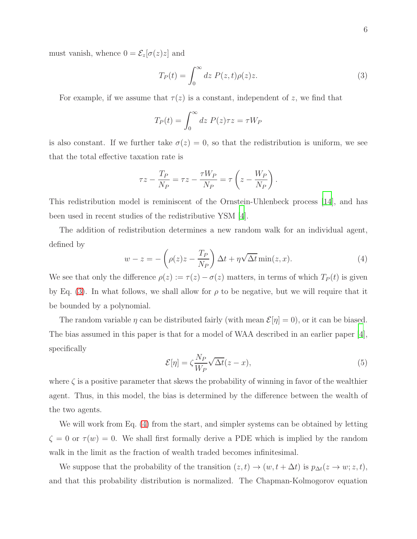must vanish, whence  $0 = \mathcal{E}_z[\sigma(z)z]$  and

<span id="page-5-0"></span>
$$
T_P(t) = \int_0^\infty dz \ P(z, t)\rho(z)z.
$$
 (3)

For example, if we assume that  $\tau(z)$  is a constant, independent of z, we find that

$$
T_P(t) = \int_0^\infty dz \ P(z) \tau z = \tau W_P
$$

is also constant. If we further take  $\sigma(z) = 0$ , so that the redistribution is uniform, we see that the total effective taxation rate is

$$
\tau z - \frac{T_P}{N_P} = \tau z - \frac{\tau W_P}{N_P} = \tau \left( z - \frac{W_P}{N_P} \right).
$$

This redistribution model is reminiscent of the Ornstein-Uhlenbeck process [\[14\]](#page-14-9), and has been used in recent studies of the redistributive YSM [\[4\]](#page-14-12).

The addition of redistribution determines a new random walk for an individual agent, defined by

<span id="page-5-1"></span>
$$
w - z = -\left(\rho(z)z - \frac{T_P}{N_P}\right)\Delta t + \eta\sqrt{\Delta t}\min(z, x). \tag{4}
$$

We see that only the difference  $\rho(z) := \tau(z) - \sigma(z)$  matters, in terms of which  $T_P(t)$  is given by Eq. [\(3\)](#page-5-0). In what follows, we shall allow for  $\rho$  to be negative, but we will require that it be bounded by a polynomial.

The random variable  $\eta$  can be distributed fairly (with mean  $\mathcal{E}[\eta] = 0$ ), or it can be biased. The bias assumed in this paper is that for a model of WAA described in an earlier paper [\[4\]](#page-14-12), specifically

<span id="page-5-2"></span>
$$
\mathcal{E}[\eta] = \zeta \frac{N_P}{W_P} \sqrt{\Delta t} (z - x),\tag{5}
$$

where  $\zeta$  is a positive parameter that skews the probability of winning in favor of the wealthier agent. Thus, in this model, the bias is determined by the difference between the wealth of the two agents.

We will work from Eq. [\(4\)](#page-5-1) from the start, and simpler systems can be obtained by letting  $\zeta = 0$  or  $\tau(w) = 0$ . We shall first formally derive a PDE which is implied by the random walk in the limit as the fraction of wealth traded becomes infinitesimal.

We suppose that the probability of the transition  $(z, t) \rightarrow (w, t + \Delta t)$  is  $p_{\Delta t}(z \rightarrow w; z, t)$ , and that this probability distribution is normalized. The Chapman-Kolmogorov equation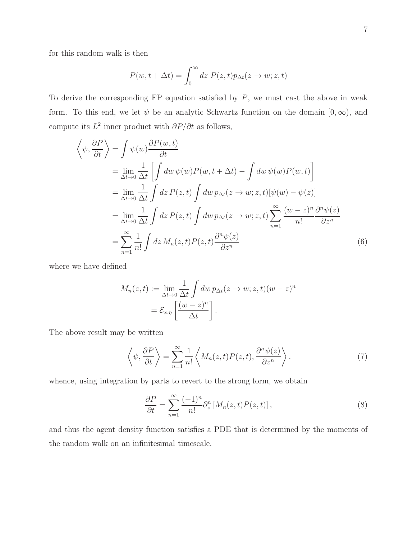for this random walk is then

$$
P(w, t + \Delta t) = \int_0^\infty dz \ P(z, t) p_{\Delta t}(z \to w; z, t)
$$

To derive the corresponding  $FP$  equation satisfied by  $P$ , we must cast the above in weak form. To this end, we let  $\psi$  be an analytic Schwartz function on the domain  $[0, \infty)$ , and compute its  $L^2$  inner product with  $\partial P/\partial t$  as follows,

$$
\left\langle \psi, \frac{\partial P}{\partial t} \right\rangle = \int \psi(w) \frac{\partial P(w, t)}{\partial t}
$$
  
\n
$$
= \lim_{\Delta t \to 0} \frac{1}{\Delta t} \left[ \int dw \, \psi(w) P(w, t + \Delta t) - \int dw \, \psi(w) P(w, t) \right]
$$
  
\n
$$
= \lim_{\Delta t \to 0} \frac{1}{\Delta t} \int dz P(z, t) \int dw \, p_{\Delta t}(z \to w; z, t) [\psi(w) - \psi(z)]
$$
  
\n
$$
= \lim_{\Delta t \to 0} \frac{1}{\Delta t} \int dz P(z, t) \int dw \, p_{\Delta t}(z \to w; z, t) \sum_{n=1}^{\infty} \frac{(w - z)^n}{n!} \frac{\partial^n \psi(z)}{\partial z^n}
$$
  
\n
$$
= \sum_{n=1}^{\infty} \frac{1}{n!} \int dz M_n(z, t) P(z, t) \frac{\partial^n \psi(z)}{\partial z^n}
$$
(6)

where we have defined

<span id="page-6-1"></span>
$$
M_n(z,t) := \lim_{\Delta t \to 0} \frac{1}{\Delta t} \int dw \, p_{\Delta t}(z \to w; z, t) (w - z)^n
$$
  
=  $\mathcal{E}_{x,\eta} \left[ \frac{(w - z)^n}{\Delta t} \right].$ 

The above result may be written

$$
\left\langle \psi, \frac{\partial P}{\partial t} \right\rangle = \sum_{n=1}^{\infty} \frac{1}{n!} \left\langle M_n(z, t) P(z, t), \frac{\partial^n \psi(z)}{\partial z^n} \right\rangle.
$$
 (7)

whence, using integration by parts to revert to the strong form, we obtain

<span id="page-6-0"></span>
$$
\frac{\partial P}{\partial t} = \sum_{n=1}^{\infty} \frac{(-1)^n}{n!} \partial_z^n \left[ M_n(z, t) P(z, t) \right],\tag{8}
$$

and thus the agent density function satisfies a PDE that is determined by the moments of the random walk on an infinitesimal timescale.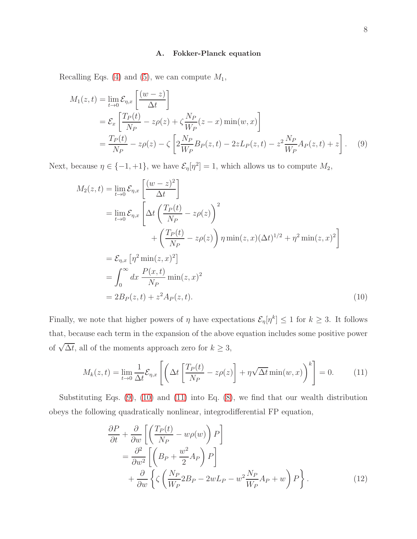#### <span id="page-7-0"></span>A. Fokker-Planck equation

Recalling Eqs. [\(4\)](#page-5-1) and [\(5\)](#page-5-2), we can compute  $M_1$ ,

$$
M_1(z,t) = \lim_{t \to 0} \mathcal{E}_{\eta,x} \left[ \frac{(w-z)}{\Delta t} \right]
$$
  
=  $\mathcal{E}_x \left[ \frac{T_P(t)}{N_P} - z\rho(z) + \zeta \frac{N_P}{W_P}(z-x) \min(w,x) \right]$   
=  $\frac{T_P(t)}{N_P} - z\rho(z) - \zeta \left[ 2 \frac{N_P}{W_P} B_P(z,t) - 2zL_P(z,t) - z^2 \frac{N_P}{W_P} A_P(z,t) + z \right].$  (9)

Next, because  $\eta \in \{-1, +1\}$ , we have  $\mathcal{E}_{\eta}[\eta^2] = 1$ , which allows us to compute  $M_2$ ,

$$
M_2(z,t) = \lim_{t \to 0} \mathcal{E}_{\eta,x} \left[ \frac{(w-z)^2}{\Delta t} \right]
$$
  
\n
$$
= \lim_{t \to 0} \mathcal{E}_{\eta,x} \left[ \Delta t \left( \frac{T_P(t)}{N_P} - z\rho(z) \right)^2 + \left( \frac{T_P(t)}{N_P} - z\rho(z) \right) \eta \min(z,x) (\Delta t)^{1/2} + \eta^2 \min(z,x)^2 \right]
$$
  
\n
$$
= \mathcal{E}_{\eta,x} \left[ \eta^2 \min(z,x)^2 \right]
$$
  
\n
$$
= \int_0^\infty dx \, \frac{P(x,t)}{N_P} \min(z,x)^2
$$
  
\n
$$
= 2B_P(z,t) + z^2 A_P(z,t).
$$
 (10)

Finally, we note that higher powers of  $\eta$  have expectations  $\mathcal{E}_{\eta}[\eta^k] \leq 1$  for  $k \geq 3$ . It follows that, because each term in the expansion of the above equation includes some positive power of  $\sqrt{\Delta t}$ , all of the moments approach zero for  $k \geq 3$ ,

<span id="page-7-1"></span>
$$
M_k(z,t) = \lim_{t \to 0} \frac{1}{\Delta t} \mathcal{E}_{\eta,x} \left[ \left( \Delta t \left[ \frac{T_P(t)}{N_P} - z \rho(z) \right] + \eta \sqrt{\Delta t} \min(w,x) \right)^k \right] = 0. \tag{11}
$$

Substituting Eqs.  $(9)$ ,  $(10)$  and  $(11)$  into Eq.  $(8)$ , we find that our wealth distribution obeys the following quadratically nonlinear, integrodifferential FP equation,

<span id="page-7-3"></span><span id="page-7-2"></span>
$$
\frac{\partial P}{\partial t} + \frac{\partial}{\partial w} \left[ \left( \frac{T_P(t)}{N_P} - w \rho(w) \right) P \right] \n= \frac{\partial^2}{\partial w^2} \left[ \left( B_P + \frac{w^2}{2} A_P \right) P \right] \n+ \frac{\partial}{\partial w} \left\{ \zeta \left( \frac{N_P}{W_P} 2B_P - 2w L_P - w^2 \frac{N_P}{W_P} A_P + w \right) P \right\}.
$$
\n(12)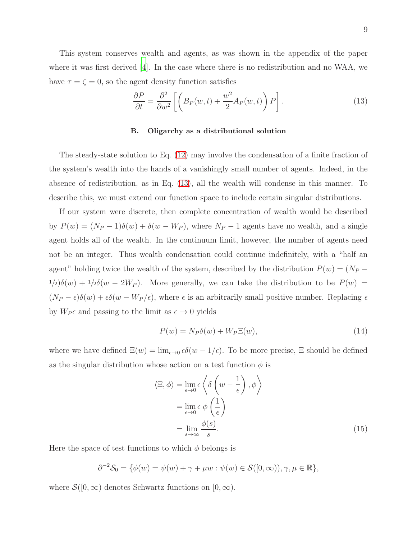This system conserves wealth and agents, as was shown in the appendix of the paper where it was first derived [\[4\]](#page-14-12). In the case where there is no redistribution and no WAA, we have  $\tau = \zeta = 0$ , so the agent density function satisfies

<span id="page-8-0"></span>
$$
\frac{\partial P}{\partial t} = \frac{\partial^2}{\partial w^2} \left[ \left( B_P(w, t) + \frac{w^2}{2} A_P(w, t) \right) P \right]. \tag{13}
$$

## B. Oligarchy as a distributional solution

The steady-state solution to Eq. [\(12\)](#page-7-3) may involve the condensation of a finite fraction of the system's wealth into the hands of a vanishingly small number of agents. Indeed, in the absence of redistribution, as in Eq. [\(13\)](#page-8-0), all the wealth will condense in this manner. To describe this, we must extend our function space to include certain singular distributions.

If our system were discrete, then complete concentration of wealth would be described by  $P(w) = (N_P - 1)\delta(w) + \delta(w - W_P)$ , where  $N_P - 1$  agents have no wealth, and a single agent holds all of the wealth. In the continuum limit, however, the number of agents need not be an integer. Thus wealth condensation could continue indefinitely, with a "half an agent" holding twice the wealth of the system, described by the distribution  $P(w) = (N_P 1/2\delta(w) + 1/2\delta(w - 2W_P)$ . More generally, we can take the distribution to be  $P(w) =$  $(N_P - \epsilon)\delta(w) + \epsilon \delta(w - W_P/\epsilon)$ , where  $\epsilon$  is an arbitrarily small positive number. Replacing  $\epsilon$ by  $W_P \epsilon$  and passing to the limit as  $\epsilon \to 0$  yields

$$
P(w) = N_P \delta(w) + W_P \Xi(w), \qquad (14)
$$

where we have defined  $\Xi(w) = \lim_{\epsilon \to 0} \epsilon \delta(w - 1/\epsilon)$ . To be more precise,  $\Xi$  should be defined as the singular distribution whose action on a test function  $\phi$  is

<span id="page-8-1"></span>
$$
\langle \Xi, \phi \rangle = \lim_{\epsilon \to 0} \epsilon \left\langle \delta \left( w - \frac{1}{\epsilon} \right), \phi \right\rangle
$$
  
= 
$$
\lim_{\epsilon \to 0} \epsilon \phi \left( \frac{1}{\epsilon} \right)
$$
  
= 
$$
\lim_{s \to \infty} \frac{\phi(s)}{s}.
$$
 (15)

Here the space of test functions to which  $\phi$  belongs is

$$
\partial^{-2} \mathcal{S}_0 = \{ \phi(w) = \psi(w) + \gamma + \mu w : \psi(w) \in \mathcal{S}([0, \infty)), \gamma, \mu \in \mathbb{R} \},\
$$

where  $\mathcal{S}([0,\infty))$  denotes Schwartz functions on  $[0,\infty)$ .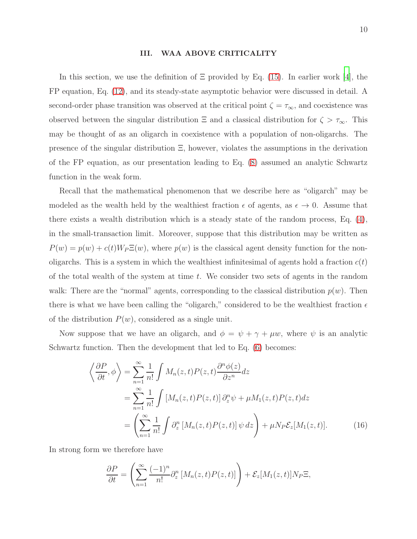#### <span id="page-9-0"></span>III. WAA ABOVE CRITICALITY

In this section, we use the definition of  $\Xi$  provided by Eq. [\(15\)](#page-8-1). In earlier work [\[4\]](#page-14-12), the FP equation, Eq. [\(12\)](#page-7-3), and its steady-state asymptotic behavior were discussed in detail. A second-order phase transition was observed at the critical point  $\zeta = \tau_{\infty}$ , and coexistence was observed between the singular distribution  $\Xi$  and a classical distribution for  $\zeta > \tau_{\infty}$ . This may be thought of as an oligarch in coexistence with a population of non-oligarchs. The presence of the singular distribution Ξ, however, violates the assumptions in the derivation of the FP equation, as our presentation leading to Eq. [\(8\)](#page-6-0) assumed an analytic Schwartz function in the weak form.

Recall that the mathematical phenomenon that we describe here as "oligarch" may be modeled as the wealth held by the wealthiest fraction  $\epsilon$  of agents, as  $\epsilon \to 0$ . Assume that there exists a wealth distribution which is a steady state of the random process, Eq. [\(4\)](#page-5-1), in the small-transaction limit. Moreover, suppose that this distribution may be written as  $P(w) = p(w) + c(t)W_P \Xi(w)$ , where  $p(w)$  is the classical agent density function for the nonoligarchs. This is a system in which the wealthiest infinitesimal of agents hold a fraction  $c(t)$ of the total wealth of the system at time t. We consider two sets of agents in the random walk: There are the "normal" agents, corresponding to the classical distribution  $p(w)$ . Then there is what we have been calling the "oligarch," considered to be the wealthiest fraction  $\epsilon$ of the distribution  $P(w)$ , considered as a single unit.

Now suppose that we have an oligarch, and  $\phi = \psi + \gamma + \mu w$ , where  $\psi$  is an analytic Schwartz function. Then the development that led to Eq.  $(6)$  becomes:

$$
\left\langle \frac{\partial P}{\partial t}, \phi \right\rangle = \sum_{n=1}^{\infty} \frac{1}{n!} \int M_n(z, t) P(z, t) \frac{\partial^n \phi(z)}{\partial z^n} dz
$$
  
= 
$$
\sum_{n=1}^{\infty} \frac{1}{n!} \int \left[ M_n(z, t) P(z, t) \right] \partial_z^n \psi + \mu M_1(z, t) P(z, t) dz
$$
  
= 
$$
\left( \sum_{n=1}^{\infty} \frac{1}{n!} \int \partial_z^n \left[ M_n(z, t) P(z, t) \right] \psi dz \right) + \mu N_P \mathcal{E}_z [M_1(z, t)].
$$
 (16)

In strong form we therefore have

$$
\frac{\partial P}{\partial t} = \left( \sum_{n=1}^{\infty} \frac{(-1)^n}{n!} \partial_z^n \left[ M_n(z, t) P(z, t) \right] \right) + \mathcal{E}_z[M_1(z, t)] N_P \Xi,
$$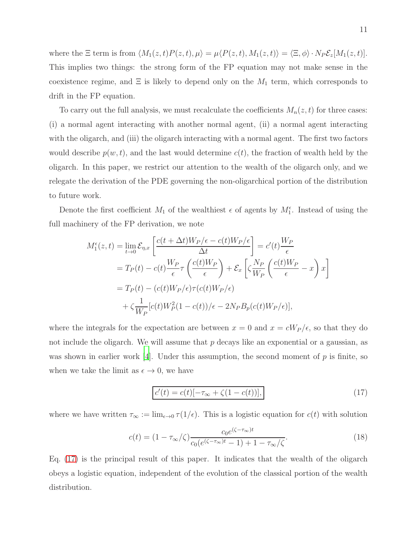where the  $\Xi$  term is from  $\langle M_1(z, t)P(z, t), \mu \rangle = \mu \langle P(z, t), M_1(z, t) \rangle = \langle \Xi, \phi \rangle \cdot N_P \mathcal{E}_z[M_1(z, t)].$ This implies two things: the strong form of the FP equation may not make sense in the coexistence regime, and  $\Xi$  is likely to depend only on the  $M_1$  term, which corresponds to drift in the FP equation.

To carry out the full analysis, we must recalculate the coefficients  $M_n(z, t)$  for three cases: (i) a normal agent interacting with another normal agent, (ii) a normal agent interacting with the oligarch, and (iii) the oligarch interacting with a normal agent. The first two factors would describe  $p(w, t)$ , and the last would determine  $c(t)$ , the fraction of wealth held by the oligarch. In this paper, we restrict our attention to the wealth of the oligarch only, and we relegate the derivation of the PDE governing the non-oligarchical portion of the distribution to future work.

Denote the first coefficient  $M_1$  of the wealthiest  $\epsilon$  of agents by  $M_1^{\epsilon}$ . Instead of using the full machinery of the FP derivation, we note

$$
M_1^{\epsilon}(z,t) = \lim_{t \to 0} \mathcal{E}_{\eta,x} \left[ \frac{c(t + \Delta t)W_P/\epsilon - c(t)W_P/\epsilon}{\Delta t} \right] = c'(t)\frac{W_P}{\epsilon}
$$
  
=  $T_P(t) - c(t)\frac{W_P}{\epsilon}\tau \left(\frac{c(t)W_P}{\epsilon}\right) + \mathcal{E}_x \left[\zeta \frac{N_P}{W_P} \left(\frac{c(t)W_P}{\epsilon} - x\right)x\right]$   
=  $T_P(t) - (c(t)W_P/\epsilon)\tau (c(t)W_P/\epsilon)$   
+  $\zeta \frac{1}{W_P}[c(t)W_P^2(1 - c(t))/\epsilon - 2N_PB_P(c(t)W_P/\epsilon)],$ 

where the integrals for the expectation are between  $x = 0$  and  $x = cW_P/\epsilon$ , so that they do not include the oligarch. We will assume that  $p$  decays like an exponential or a gaussian, as was shown in earlier work [\[4\]](#page-14-12). Under this assumption, the second moment of  $p$  is finite, so when we take the limit as  $\epsilon \to 0$ , we have

<span id="page-10-0"></span>
$$
c'(t) = c(t)[-\tau_{\infty} + \zeta(1 - c(t))],
$$
\n(17)

where we have written  $\tau_{\infty} := \lim_{\epsilon \to 0} \tau(1/\epsilon)$ . This is a logistic equation for  $c(t)$  with solution

$$
c(t) = (1 - \tau_{\infty}/\zeta) \frac{c_0 e^{(\zeta - \tau_{\infty})t}}{c_0 (e^{(\zeta - \tau_{\infty})t} - 1) + 1 - \tau_{\infty}/\zeta}.
$$
\n(18)

Eq. [\(17\)](#page-10-0) is the principal result of this paper. It indicates that the wealth of the oligarch obeys a logistic equation, independent of the evolution of the classical portion of the wealth distribution.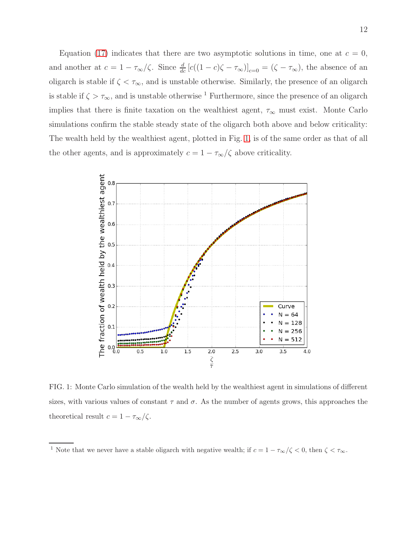Equation [\(17\)](#page-10-0) indicates that there are two asymptotic solutions in time, one at  $c = 0$ , and another at  $c = 1 - \tau_{\infty}/\zeta$ . Since  $\frac{d}{dc} [c((1 - c)\zeta - \tau_{\infty})]_{c=0} = (\zeta - \tau_{\infty})$ , the absence of an oligarch is stable if  $\zeta < \tau_{\infty}$ , and is unstable otherwise. Similarly, the presence of an oligarch is stable if  $\zeta > \tau_{\infty}$ , and is unstable otherwise <sup>1</sup> Furthermore, since the presence of an oligarch implies that there is finite taxation on the wealthiest agent,  $\tau_{\infty}$  must exist. Monte Carlo simulations confirm the stable steady state of the oligarch both above and below criticality: The wealth held by the wealthiest agent, plotted in Fig. [1,](#page-11-0) is of the same order as that of all the other agents, and is approximately  $c = 1 - \tau_{\infty}/\zeta$  above criticality.



<span id="page-11-0"></span>FIG. 1: Monte Carlo simulation of the wealth held by the wealthiest agent in simulations of different sizes, with various values of constant  $\tau$  and  $\sigma$ . As the number of agents grows, this approaches the theoretical result  $c = 1 - \tau_{\infty}/\zeta$ .

<sup>&</sup>lt;sup>1</sup> Note that we never have a stable oligarch with negative wealth; if  $c = 1 - \tau_{\infty}/\zeta < 0$ , then  $\zeta < \tau_{\infty}$ .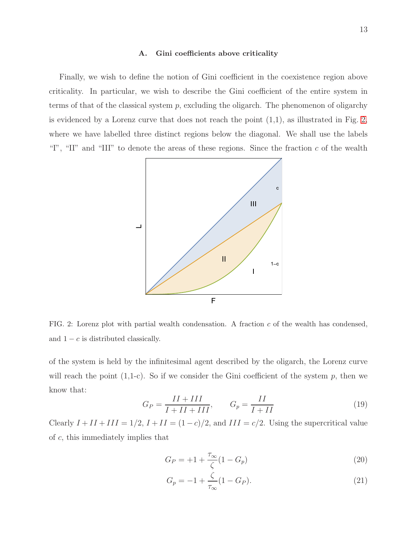#### A. Gini coefficients above criticality

Finally, we wish to define the notion of Gini coefficient in the coexistence region above criticality. In particular, we wish to describe the Gini coefficient of the entire system in terms of that of the classical system  $p$ , excluding the oligarch. The phenomenon of oligarchy is evidenced by a Lorenz curve that does not reach the point  $(1,1)$ , as illustrated in Fig. [2,](#page-12-0) where we have labelled three distinct regions below the diagonal. We shall use the labels "I", "II" and "III" to denote the areas of these regions. Since the fraction  $c$  of the wealth



<span id="page-12-0"></span>FIG. 2: Lorenz plot with partial wealth condensation. A fraction  $c$  of the wealth has condensed, and  $1 - c$  is distributed classically.

of the system is held by the infinitesimal agent described by the oligarch, the Lorenz curve will reach the point  $(1,1-c)$ . So if we consider the Gini coefficient of the system p, then we know that:

$$
G_P = \frac{II + III}{I + II + III}, \qquad G_p = \frac{II}{I + II}
$$
\n
$$
(19)
$$

Clearly  $I + II + III = 1/2$ ,  $I + II = (1 - c)/2$ , and  $III = c/2$ . Using the supercritical value of c, this immediately implies that

$$
G_P = +1 + \frac{\tau_{\infty}}{\zeta} (1 - G_p)
$$
\n(20)

$$
G_p = -1 + \frac{\zeta}{\tau_{\infty}} (1 - G_P). \tag{21}
$$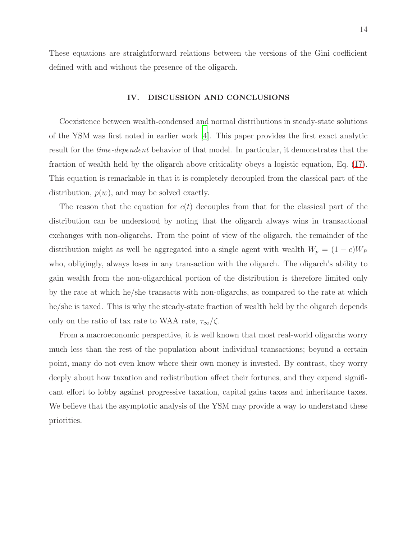These equations are straightforward relations between the versions of the Gini coefficient defined with and without the presence of the oligarch.

# IV. DISCUSSION AND CONCLUSIONS

Coexistence between wealth-condensed and normal distributions in steady-state solutions of the YSM was first noted in earlier work [\[4](#page-14-12)]. This paper provides the first exact analytic result for the time-dependent behavior of that model. In particular, it demonstrates that the fraction of wealth held by the oligarch above criticality obeys a logistic equation, Eq. [\(17\)](#page-10-0). This equation is remarkable in that it is completely decoupled from the classical part of the distribution,  $p(w)$ , and may be solved exactly.

The reason that the equation for  $c(t)$  decouples from that for the classical part of the distribution can be understood by noting that the oligarch always wins in transactional exchanges with non-oligarchs. From the point of view of the oligarch, the remainder of the distribution might as well be aggregated into a single agent with wealth  $W_p = (1 - c)W_p$ who, obligingly, always loses in any transaction with the oligarch. The oligarch's ability to gain wealth from the non-oligarchical portion of the distribution is therefore limited only by the rate at which he/she transacts with non-oligarchs, as compared to the rate at which he/she is taxed. This is why the steady-state fraction of wealth held by the oligarch depends only on the ratio of tax rate to WAA rate,  $\tau_{\infty}/\zeta$ .

From a macroeconomic perspective, it is well known that most real-world oligarchs worry much less than the rest of the population about individual transactions; beyond a certain point, many do not even know where their own money is invested. By contrast, they worry deeply about how taxation and redistribution affect their fortunes, and they expend significant effort to lobby against progressive taxation, capital gains taxes and inheritance taxes. We believe that the asymptotic analysis of the YSM may provide a way to understand these priorities.